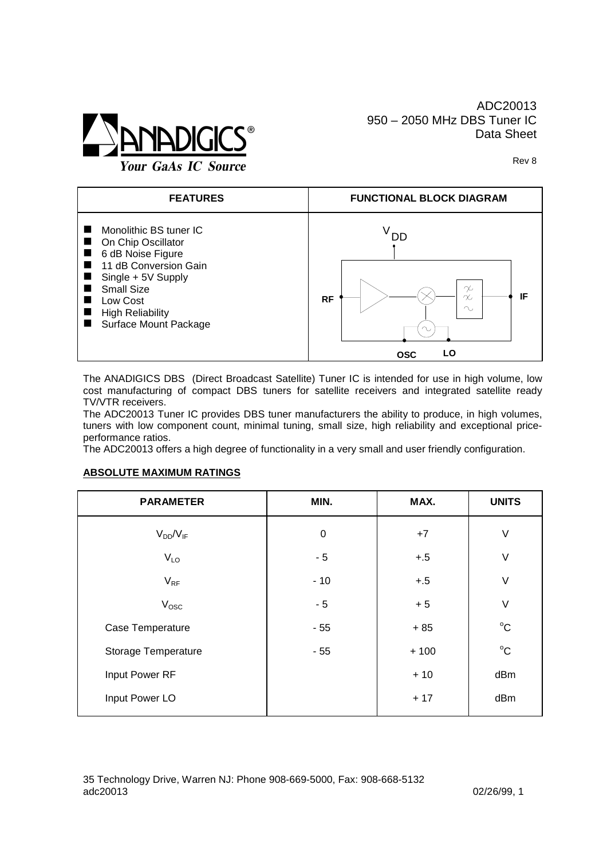

Rev 8



The ANADIGICS DBS (Direct Broadcast Satellite) Tuner IC is intended for use in high volume, low cost manufacturing of compact DBS tuners for satellite receivers and integrated satellite ready TV/VTR receivers.

The ADC20013 Tuner IC provides DBS tuner manufacturers the ability to produce, in high volumes, tuners with low component count, minimal tuning, small size, high reliability and exceptional priceperformance ratios.

The ADC20013 offers a high degree of functionality in a very small and user friendly configuration.

## **ABSOLUTE MAXIMUM RATINGS**

| <b>PARAMETER</b>    | MIN.      | MAX.   | <b>UNITS</b>        |
|---------------------|-----------|--------|---------------------|
| $V_{DD}/V_{IF}$     | $\pmb{0}$ | $+7$   | $\vee$              |
| V <sub>LO</sub>     | $-5$      | $+.5$  | $\vee$              |
| $V_{RF}$            | $-10$     | $+.5$  | $\vee$              |
| $V_{\rm osc}$       | $-5$      | $+5$   | $\vee$              |
| Case Temperature    | $-55$     | $+85$  | $^{\circ} \text{C}$ |
| Storage Temperature | $-55$     | $+100$ | $^{\circ}C$         |
| Input Power RF      |           | $+10$  | dBm                 |
| Input Power LO      |           | $+17$  | dBm                 |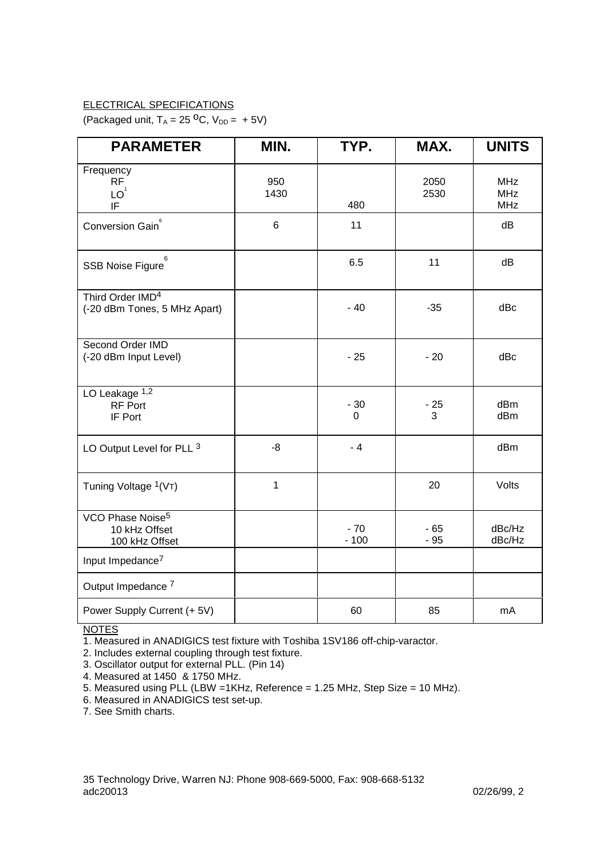## ELECTRICAL SPECIFICATIONS

(Packaged unit,  $T_A = 25 \,^{\circ}C$ ,  $V_{DD} = +5V$ )

| <b>PARAMETER</b>                                                | MIN.        | TYP.            | MAX.           | <b>UNITS</b>                           |
|-----------------------------------------------------------------|-------------|-----------------|----------------|----------------------------------------|
| Frequency<br><b>RF</b><br>$\mathsf{LO}^1$<br>IF                 | 950<br>1430 | 480             | 2050<br>2530   | <b>MHz</b><br><b>MHz</b><br><b>MHz</b> |
| Conversion Gain <sup>6</sup>                                    | 6           | 11              |                | dB                                     |
| 6<br>SSB Noise Figure                                           |             | 6.5             | 11             | dB                                     |
| Third Order IMD <sup>4</sup><br>(-20 dBm Tones, 5 MHz Apart)    |             | $-40$           | $-35$          | dBc                                    |
| Second Order IMD<br>(-20 dBm Input Level)                       |             | $-25$           | $-20$          | dBc                                    |
| LO Leakage 1,2<br><b>RF Port</b><br>IF Port                     |             | $-30$<br>0      | $-25$<br>3     | dBm<br>dBm                             |
| LO Output Level for PLL 3                                       | -8          | $-4$            |                | dBm                                    |
| Tuning Voltage <sup>1</sup> (VT)                                | 1           |                 | 20             | Volts                                  |
| VCO Phase Noise <sup>5</sup><br>10 kHz Offset<br>100 kHz Offset |             | $-70$<br>$-100$ | $-65$<br>$-95$ | dBc/Hz<br>dBc/Hz                       |
| Input Impedance <sup>7</sup>                                    |             |                 |                |                                        |
| Output Impedance <sup>7</sup>                                   |             |                 |                |                                        |
| Power Supply Current (+ 5V)                                     |             | 60              | 85             | mA                                     |

**NOTES** 

1. Measured in ANADIGICS test fixture with Toshiba 1SV186 off-chip-varactor.

2. Includes external coupling through test fixture.

3. Oscillator output for external PLL. (Pin 14)

4. Measured at 1450 & 1750 MHz.

5. Measured using PLL (LBW =1KHz, Reference = 1.25 MHz, Step Size = 10 MHz).

6. Measured in ANADIGICS test set-up.

7. See Smith charts.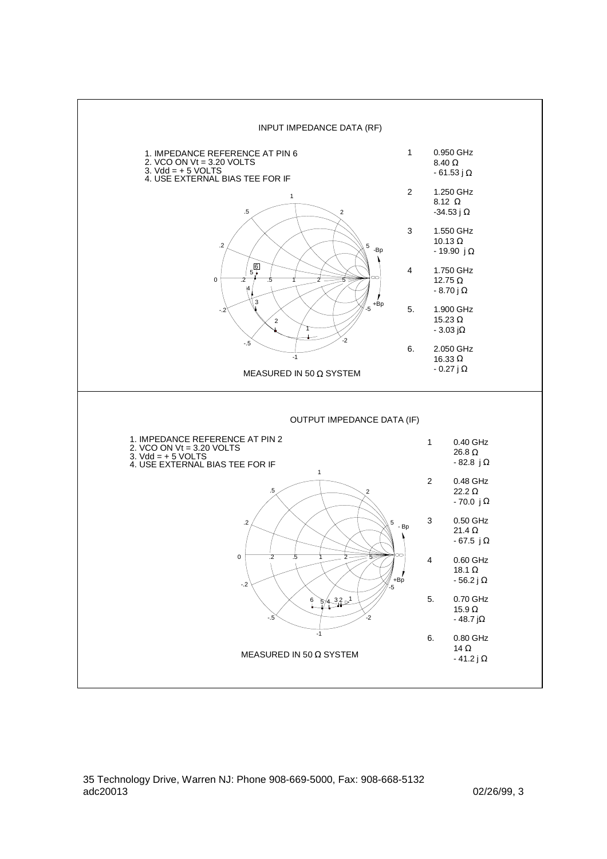